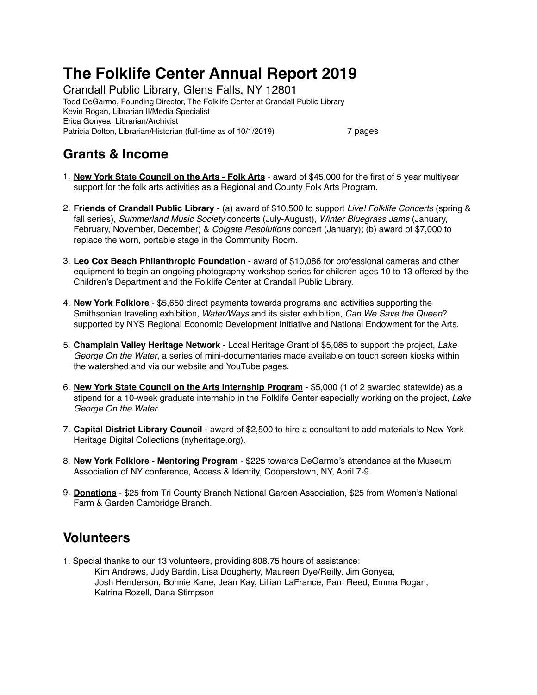# **The Folklife Center Annual Report 2019**

Crandall Public Library, Glens Falls, NY 12801 Todd DeGarmo, Founding Director, The Folklife Center at Crandall Public Library Kevin Rogan, Librarian II/Media Specialist Erica Gonyea, Librarian/Archivist Patricia Dolton, Librarian/Historian (full-time as of 10/1/2019) 7 pages

### **Grants & Income**

- 1. **New York State Council on the Arts Folk Arts** award of \$45,000 for the first of 5 year multiyear support for the folk arts activities as a Regional and County Folk Arts Program.
- 2. **Friends of Crandall Public Library** (a) award of \$10,500 to support *Live! Folklife Concerts* (spring & fall series), *Summerland Music Society* concerts (July-August), *Winter Bluegrass Jams* (January, February, November, December) & *Colgate Resolutions* concert (January); (b) award of \$7,000 to replace the worn, portable stage in the Community Room.
- 3. **Leo Cox Beach Philanthropic Foundation** award of \$10,086 for professional cameras and other equipment to begin an ongoing photography workshop series for children ages 10 to 13 offered by the Children's Department and the Folklife Center at Crandall Public Library.
- 4. **New York Folklore** \$5,650 direct payments towards programs and activities supporting the Smithsonian traveling exhibition, *Water/Ways* and its sister exhibition, *Can We Save the Queen*? supported by NYS Regional Economic Development Initiative and National Endowment for the Arts.
- 5. **Champlain Valley Heritage Network**  Local Heritage Grant of \$5,085 to support the project, *Lake George On the Water*, a series of mini-documentaries made available on touch screen kiosks within the watershed and via our website and YouTube pages.
- 6. **New York State Council on the Arts Internship Program** \$5,000 (1 of 2 awarded statewide) as a stipend for a 10-week graduate internship in the Folklife Center especially working on the project, *Lake George On the Water*.
- 7. **Capital District Library Council** award of \$2,500 to hire a consultant to add materials to New York Heritage Digital Collections [\(nyheritage.org](http://nyheritage.org)).
- 8. **New York Folklore Mentoring Program** \$225 towards DeGarmo's attendance at the Museum Association of NY conference, Access & Identity, Cooperstown, NY, April 7-9.
- 9. **Donations** \$25 from Tri County Branch National Garden Association, \$25 from Women's National Farm & Garden Cambridge Branch.

# **Volunteers**

1. Special thanks to our 13 volunteers, providing 808.75 hours of assistance: Kim Andrews, Judy Bardin, Lisa Dougherty, Maureen Dye/Reilly, Jim Gonyea, Josh Henderson, Bonnie Kane, Jean Kay, Lillian LaFrance, Pam Reed, Emma Rogan, Katrina Rozell, Dana Stimpson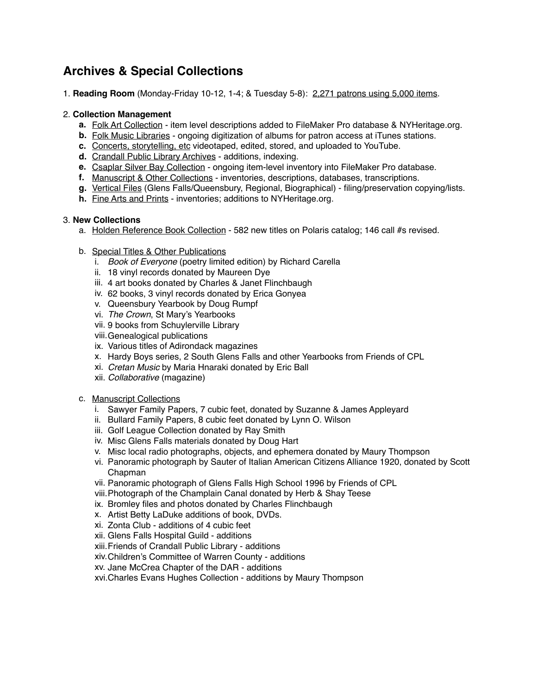# **Archives & Special Collections**

1. **Reading Room** (Monday-Friday 10-12, 1-4; & Tuesday 5-8): 2,271 patrons using 5,000 items.

#### 2. **Collection Management**

- **a.** Folk Art Collection item level descriptions added to FileMaker Pro database & NYHeritage.org.
- **b.** Folk Music Libraries ongoing digitization of albums for patron access at iTunes stations.
- **c.** Concerts, storytelling, etc videotaped, edited, stored, and uploaded to YouTube.
- **d.** Crandall Public Library Archives additions, indexing.
- **e.** Csaplar Silver Bay Collection ongoing item-level inventory into FileMaker Pro database.
- **f.** Manuscript & Other Collections inventories, descriptions, databases, transcriptions.
- **g.** Vertical Files (Glens Falls/Queensbury, Regional, Biographical) filing/preservation copying/lists.
- **h.** Fine Arts and Prints inventories; additions to NYHeritage.org.

#### 3. **New Collections**

- a. Holden Reference Book Collection 582 new titles on Polaris catalog; 146 call #s revised.
- b. Special Titles & Other Publications
	- i. *Book of Everyone* (poetry limited edition) by Richard Carella
	- ii. 18 vinyl records donated by Maureen Dye
	- iii. 4 art books donated by Charles & Janet Flinchbaugh
	- iv. 62 books, 3 vinyl records donated by Erica Gonyea
	- v. Queensbury Yearbook by Doug Rumpf
	- vi. *The Crown*, St Mary's Yearbooks
	- vii. 9 books from Schuylerville Library
	- viii.Genealogical publications
	- ix. Various titles of Adirondack magazines
	- x. Hardy Boys series, 2 South Glens Falls and other Yearbooks from Friends of CPL
	- xi. *Cretan Music* by Maria Hnaraki donated by Eric Ball
	- xii. *Collaborative* (magazine)
- c. Manuscript Collections
	- i. Sawyer Family Papers, 7 cubic feet, donated by Suzanne & James Appleyard
	- ii. Bullard Family Papers, 8 cubic feet donated by Lynn O. Wilson
	- iii. Golf League Collection donated by Ray Smith
	- iv. Misc Glens Falls materials donated by Doug Hart
	- v. Misc local radio photographs, objects, and ephemera donated by Maury Thompson
	- vi. Panoramic photograph by Sauter of Italian American Citizens Alliance 1920, donated by Scott Chapman
	- vii. Panoramic photograph of Glens Falls High School 1996 by Friends of CPL
	- viii.Photograph of the Champlain Canal donated by Herb & Shay Teese
	- ix. Bromley files and photos donated by Charles Flinchbaugh
	- x. Artist Betty LaDuke additions of book, DVDs.
	- xi. Zonta Club additions of 4 cubic feet
	- xii. Glens Falls Hospital Guild additions
	- xiii.Friends of Crandall Public Library additions
	- xiv.Children's Committee of Warren County additions
	- xv. Jane McCrea Chapter of the DAR additions
	- xvi.Charles Evans Hughes Collection additions by Maury Thompson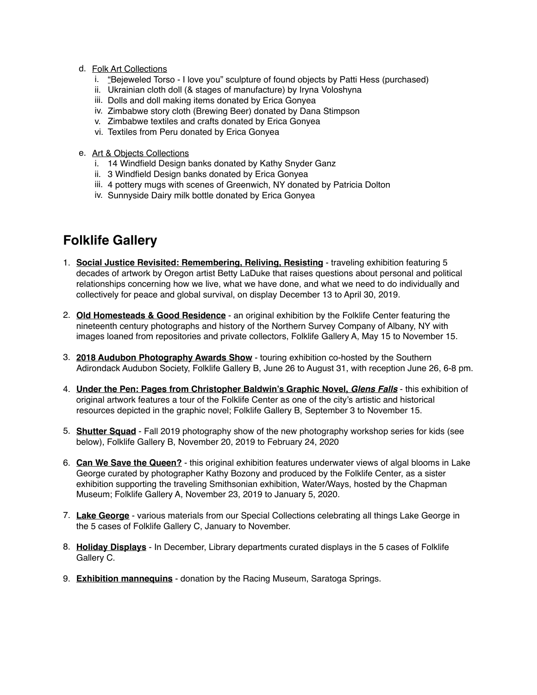- d. Folk Art Collections
	- i. "Bejeweled Torso I love you" sculpture of found objects by Patti Hess (purchased)
	- ii. Ukrainian cloth doll (& stages of manufacture) by Iryna Voloshyna
	- iii. Dolls and doll making items donated by Erica Gonyea
	- iv. Zimbabwe story cloth (Brewing Beer) donated by Dana Stimpson
	- v. Zimbabwe textiles and crafts donated by Erica Gonyea
	- vi. Textiles from Peru donated by Erica Gonyea
- e. Art & Objects Collections
	- i. 14 Windfield Design banks donated by Kathy Snyder Ganz
	- ii. 3 Windfield Design banks donated by Erica Gonyea
	- iii. 4 pottery mugs with scenes of Greenwich, NY donated by Patricia Dolton
	- iv. Sunnyside Dairy milk bottle donated by Erica Gonyea

# **Folklife Gallery**

- 1. **Social Justice Revisited: Remembering, Reliving, Resisting** traveling exhibition featuring 5 decades of artwork by Oregon artist Betty LaDuke that raises questions about personal and political relationships concerning how we live, what we have done, and what we need to do individually and collectively for peace and global survival, on display December 13 to April 30, 2019.
- 2. **Old Homesteads & Good Residence** an original exhibition by the Folklife Center featuring the nineteenth century photographs and history of the Northern Survey Company of Albany, NY with images loaned from repositories and private collectors, Folklife Gallery A, May 15 to November 15.
- 3. **2018 Audubon Photography Awards Show** touring exhibition co-hosted by the Southern Adirondack Audubon Society, Folklife Gallery B, June 26 to August 31, with reception June 26, 6-8 pm.
- 4. **Under the Pen: Pages from Christopher Baldwin's Graphic Novel,** *Glens Falls* this exhibition of original artwork features a tour of the Folklife Center as one of the city's artistic and historical resources depicted in the graphic novel; Folklife Gallery B, September 3 to November 15.
- 5. **Shutter Squad** Fall 2019 photography show of the new photography workshop series for kids (see below), Folklife Gallery B, November 20, 2019 to February 24, 2020
- 6. **Can We Save the Queen?** this original exhibition features underwater views of algal blooms in Lake George curated by photographer Kathy Bozony and produced by the Folklife Center, as a sister exhibition supporting the traveling Smithsonian exhibition, Water/Ways, hosted by the Chapman Museum; Folklife Gallery A, November 23, 2019 to January 5, 2020.
- 7. **Lake George** various materials from our Special Collections celebrating all things Lake George in the 5 cases of Folklife Gallery C, January to November.
- 8. **Holiday Displays** In December, Library departments curated displays in the 5 cases of Folklife Gallery C.
- 9. **Exhibition mannequins** donation by the Racing Museum, Saratoga Springs.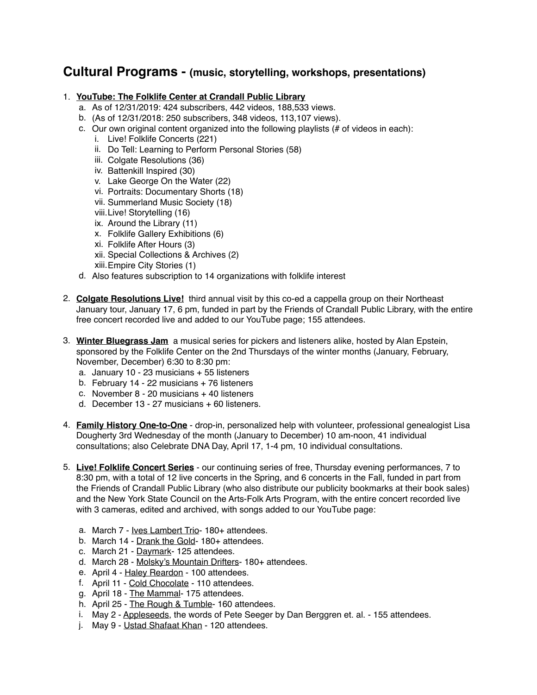### **Cultural Programs - (music, storytelling, workshops, presentations)**

#### 1. **YouTube: The Folklife Center at Crandall Public Library**

- a. As of 12/31/2019: 424 subscribers, 442 videos, 188,533 views.
- b. (As of 12/31/2018: 250 subscribers, 348 videos, 113,107 views).
- c. Our own original content organized into the following playlists  $(H \cup B)$  or  $H$  of videos in each):
	- i. Live! Folklife Concerts (221)
		- ii. Do Tell: Learning to Perform Personal Stories (58)
		- iii. Colgate Resolutions (36)
		- iv. Battenkill Inspired (30)
		- v. Lake George On the Water (22)
		- vi. Portraits: Documentary Shorts (18)
		- vii. Summerland Music Society (18)
		- viii.Live! Storytelling (16)
	- ix. Around the Library (11)
	- x. Folklife Gallery Exhibitions (6)
	- xi. Folklife After Hours (3)
	- xii. Special Collections & Archives (2)
	- xiii.Empire City Stories (1)
- d. Also features subscription to 14 organizations with folklife interest
- 2. **Colgate Resolutions Live!** third annual visit by this co-ed a cappella group on their Northeast January tour, January 17, 6 pm, funded in part by the Friends of Crandall Public Library, with the entire free concert recorded live and added to our YouTube page; 155 attendees.
- 3. **Winter Bluegrass Jam** a musical series for pickers and listeners alike, hosted by Alan Epstein, sponsored by the Folklife Center on the 2nd Thursdays of the winter months (January, February, November, December) 6:30 to 8:30 pm:
	- a. January 10 23 musicians + 55 listeners
	- b. February 14 22 musicians + 76 listeners
	- c. November 8 20 musicians + 40 listeners
	- d. December 13 27 musicians + 60 listeners.
- 4. **Family History One-to-One** drop-in, personalized help with volunteer, professional genealogist Lisa Dougherty 3rd Wednesday of the month (January to December) 10 am-noon, 41 individual consultations; also Celebrate DNA Day, April 17, 1-4 pm, 10 individual consultations.
- 5. **Live! Folklife Concert Series** our continuing series of free, Thursday evening performances, 7 to 8:30 pm, with a total of 12 live concerts in the Spring, and 6 concerts in the Fall, funded in part from the Friends of Crandall Public Library (who also distribute our publicity bookmarks at their book sales) and the New York State Council on the Arts-Folk Arts Program, with the entire concert recorded live with 3 cameras, edited and archived, with songs added to our YouTube page:
	- a. March 7 Ives Lambert Trio- 180+ attendees.
	- b. March 14 Drank the Gold- 180+ attendees.
	- c. March 21 Daymark- 125 attendees.
	- d. March 28 Molsky's Mountain Drifters- 180+ attendees.
	- e. April 4 Haley Reardon 100 attendees.
	- f. April 11 Cold Chocolate 110 attendees.
	- g. April 18 The Mammal- 175 attendees.
	- h. April 25 The Rough & Tumble- 160 attendees.
	- i. May 2 Appleseeds, the words of Pete Seeger by Dan Berggren et. al. 155 attendees.
	- j. May 9 Ustad Shafaat Khan 120 attendees.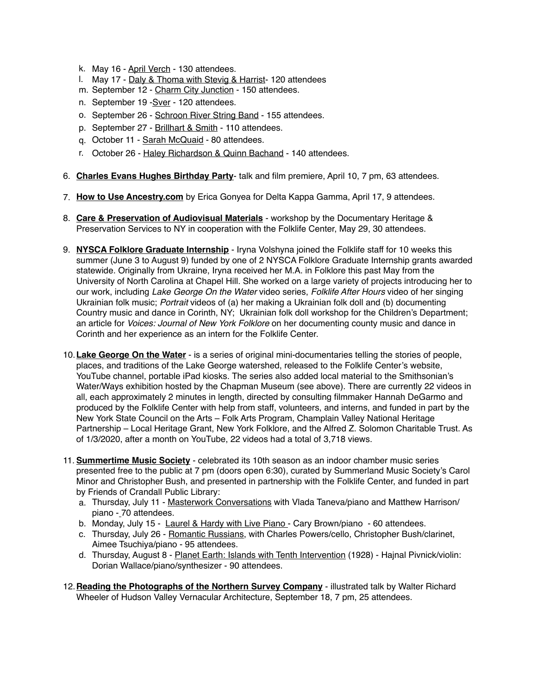- k. May 16 April Verch 130 attendees.
- l. May 17 Daly & Thoma with Stevig & Harrist- 120 attendees
- m. September 12 Charm City Junction 150 attendees.
- n. September 19 -Sver 120 attendees.
- o. September 26 Schroon River String Band 155 attendees.
- p. September 27 Brillhart & Smith 110 attendees.
- q. October 11 Sarah McQuaid 80 attendees.
- r. October 26 Haley Richardson & Quinn Bachand 140 attendees.
- 6. **Charles Evans Hughes Birthday Party** talk and film premiere, April 10, 7 pm, 63 attendees.
- 7. **How to Use Ancestry.com** by Erica Gonyea for Delta Kappa Gamma, April 17, 9 attendees.
- 8. **Care & Preservation of Audiovisual Materials** workshop by the Documentary Heritage & Preservation Services to NY in cooperation with the Folklife Center, May 29, 30 attendees.
- 9. **NYSCA Folklore Graduate Internship** Iryna Volshyna joined the Folklife staff for 10 weeks this summer (June 3 to August 9) funded by one of 2 NYSCA Folklore Graduate Internship grants awarded statewide. Originally from Ukraine, Iryna received her M.A. in Folklore this past May from the University of North Carolina at Chapel Hill. She worked on a large variety of projects introducing her to our work, including *Lake George On the Water* video series, *Folklife After Hours* video of her singing Ukrainian folk music; *Portrait* videos of (a) her making a Ukrainian folk doll and (b) documenting Country music and dance in Corinth, NY; Ukrainian folk doll workshop for the Children's Department; an article for *Voices: Journal of New York Folklore* on her documenting county music and dance in Corinth and her experience as an intern for the Folklife Center.
- 10.**Lake George On the Water** is a series of original mini-documentaries telling the stories of people, places, and traditions of the Lake George watershed, released to the Folklife Center's website, YouTube channel, portable iPad kiosks. The series also added local material to the Smithsonian's Water/Ways exhibition hosted by the Chapman Museum (see above). There are currently 22 videos in all, each approximately 2 minutes in length, directed by consulting filmmaker Hannah DeGarmo and produced by the Folklife Center with help from staff, volunteers, and interns, and funded in part by the New York State Council on the Arts – Folk Arts Program, Champlain Valley National Heritage Partnership – Local Heritage Grant, New York Folklore, and the Alfred Z. Solomon Charitable Trust. As of 1/3/2020, after a month on YouTube, 22 videos had a total of 3,718 views.
- 11. **Summertime Music Society** celebrated its 10th season as an indoor chamber music series presented free to the public at 7 pm (doors open 6:30), curated by Summerland Music Society's Carol Minor and Christopher Bush, and presented in partnership with the Folklife Center, and funded in part by Friends of Crandall Public Library:
	- a. Thursday, July 11 Masterwork Conversations with Vlada Taneva/piano and Matthew Harrison/ piano - 70 attendees.
	- b. Monday, July 15 Laurel & Hardy with Live Piano Cary Brown/piano 60 attendees.
	- c. Thursday, July 26 Romantic Russians, with Charles Powers/cello, Christopher Bush/clarinet, Aimee Tsuchiya/piano - 95 attendees.
	- d. Thursday, August 8 Planet Earth: Islands with Tenth Intervention (1928) Hajnal Pivnick/violin: Dorian Wallace/piano/synthesizer - 90 attendees.
- 12.**Reading the Photographs of the Northern Survey Company** illustrated talk by Walter Richard Wheeler of Hudson Valley Vernacular Architecture, September 18, 7 pm, 25 attendees.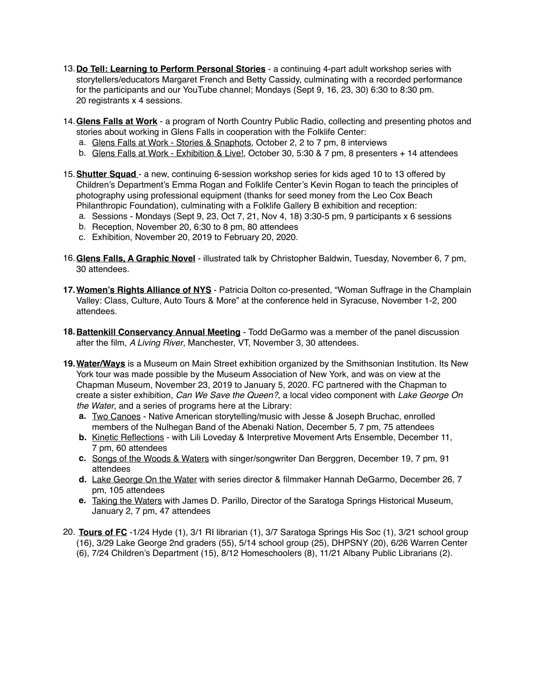- 13.**Do Tell: Learning to Perform Personal Stories** a continuing 4-part adult workshop series with storytellers/educators Margaret French and Betty Cassidy, culminating with a recorded performance for the participants and our YouTube channel; Mondays (Sept 9, 16, 23, 30) 6:30 to 8:30 pm. 20 registrants x 4 sessions.
- 14.**Glens Falls at Work** a program of North Country Public Radio, collecting and presenting photos and stories about working in Glens Falls in cooperation with the Folklife Center:
	- a. Glens Falls at Work Stories & Snaphots, October 2, 2 to 7 pm, 8 interviews
	- b. Glens Falls at Work Exhibition & Live!, October 30, 5:30 & 7 pm, 8 presenters + 14 attendees
- 15.**Shutter Squad**  a new, continuing 6-session workshop series for kids aged 10 to 13 offered by Children's Department's Emma Rogan and Folklife Center's Kevin Rogan to teach the principles of photography using professional equipment (thanks for seed money from the Leo Cox Beach Philanthropic Foundation), culminating with a Folklife Gallery B exhibition and reception:
	- a. Sessions Mondays (Sept 9, 23, Oct 7, 21, Nov 4, 18) 3:30-5 pm, 9 participants x 6 sessions
	- b. Reception, November 20, 6:30 to 8 pm, 80 attendees
	- c. Exhibition, November 20, 2019 to February 20, 2020.
- 16.**Glens Falls, A Graphic Novel** illustrated talk by Christopher Baldwin, Tuesday, November 6, 7 pm, 30 attendees.
- **17.Women's Rights Alliance of NYS** Patricia Dolton co-presented, "Woman Suffrage in the Champlain Valley: Class, Culture, Auto Tours & More" at the conference held in Syracuse, November 1-2, 200 attendees.
- **18.Battenkill Conservancy Annual Meeting** Todd DeGarmo was a member of the panel discussion after the film, *A Living River*, Manchester, VT, November 3, 30 attendees.
- **19.Water/Ways** is a Museum on Main Street exhibition organized by the Smithsonian Institution. Its New York tour was made possible by the Museum Association of New York, and was on view at the Chapman Museum, November 23, 2019 to January 5, 2020. FC partnered with the Chapman to create a sister exhibition, *Can We Save the Queen?*, a local video component with *Lake George On the Water*, and a series of programs here at the Library:
	- **a.** Two Canoes Native American storytelling/music with Jesse & Joseph Bruchac, enrolled members of the Nulhegan Band of the Abenaki Nation, December 5, 7 pm, 75 attendees
	- **b.** Kinetic Reflections with Lili Loveday & Interpretive Movement Arts Ensemble, December 11, 7 pm, 60 attendees
	- **c.** Songs of the Woods & Waters with singer/songwriter Dan Berggren, December 19, 7 pm, 91 attendees
	- **d.** Lake George On the Water with series director & filmmaker Hannah DeGarmo, December 26, 7 pm, 105 attendees
	- **e.** Taking the Waters with James D. Parillo, Director of the Saratoga Springs Historical Museum, January 2, 7 pm, 47 attendees
- 20. **Tours of FC** -1/24 Hyde (1), 3/1 RI librarian (1), 3/7 Saratoga Springs His Soc (1), 3/21 school group (16), 3/29 Lake George 2nd graders (55), 5/14 school group (25), DHPSNY (20), 6/26 Warren Center (6), 7/24 Children's Department (15), 8/12 Homeschoolers (8), 11/21 Albany Public Librarians (2).